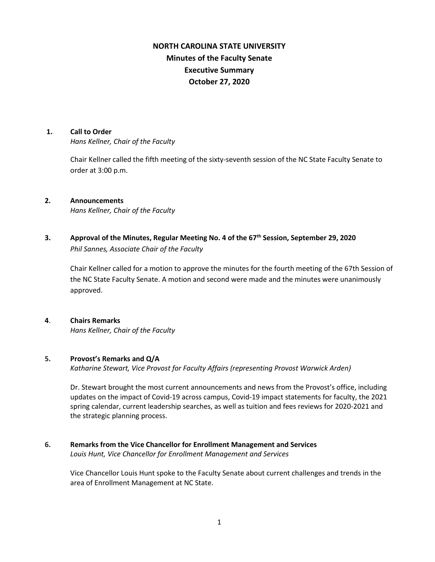# **NORTH CAROLINA STATE UNIVERSITY Minutes of the Faculty Senate Executive Summary October 27, 2020**

### **1. Call to Order**

*Hans Kellner, Chair of the Faculty*

Chair Kellner called the fifth meeting of the sixty-seventh session of the NC State Faculty Senate to order at 3:00 p.m.

### **2. Announcements**

*Hans Kellner, Chair of the Faculty*

**3. Approval of the Minutes, Regular Meeting No. 4 of the 67th Session, September 29, 2020** *Phil Sannes, Associate Chair of the Faculty*

Chair Kellner called for a motion to approve the minutes for the fourth meeting of the 67th Session of the NC State Faculty Senate. A motion and second were made and the minutes were unanimously approved.

### **4**. **Chairs Remarks**

*Hans Kellner, Chair of the Faculty*

### **5. Provost's Remarks and Q/A**

*Katharine Stewart, Vice Provost for Faculty Affairs (representing Provost Warwick Arden)*

Dr. Stewart brought the most current announcements and news from the Provost's office, including updates on the impact of Covid-19 across campus, Covid-19 impact statements for faculty, the 2021 spring calendar, current leadership searches, as well as tuition and fees reviews for 2020-2021 and the strategic planning process.

## **6. Remarks from the Vice Chancellor for Enrollment Management and Services**

*Louis Hunt, Vice Chancellor for Enrollment Management and Services*

Vice Chancellor Louis Hunt spoke to the Faculty Senate about current challenges and trends in the area of Enrollment Management at NC State.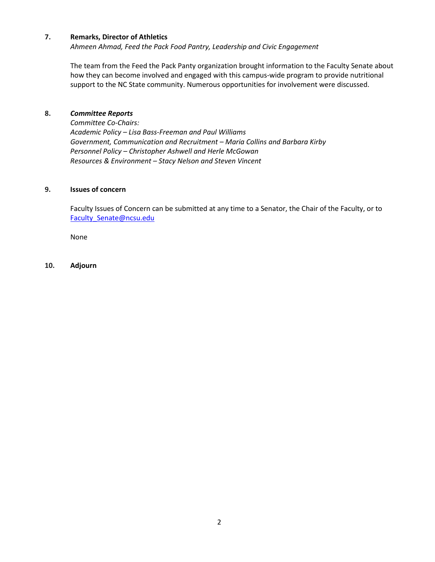### **7. Remarks, Director of Athletics**

*Ahmeen Ahmad, Feed the Pack Food Pantry, Leadership and Civic Engagement* 

The team from the Feed the Pack Panty organization brought information to the Faculty Senate about how they can become involved and engaged with this campus-wide program to provide nutritional support to the NC State community. Numerous opportunities for involvement were discussed.

### **8.** *Committee Reports*

*Committee Co-Chairs: Academic Policy – Lisa Bass-Freeman and Paul Williams Government, Communication and Recruitment – Maria Collins and Barbara Kirby Personnel Policy – Christopher Ashwell and Herle McGowan Resources & Environment – Stacy Nelson and Steven Vincent*

### **9. Issues of concern**

Faculty Issues of Concern can be submitted at any time to a Senator, the Chair of the Faculty, or to [Faculty\\_Senate@ncsu.edu](mailto:Faculty_Senate@ncsu.edu)

None

### **10. Adjourn**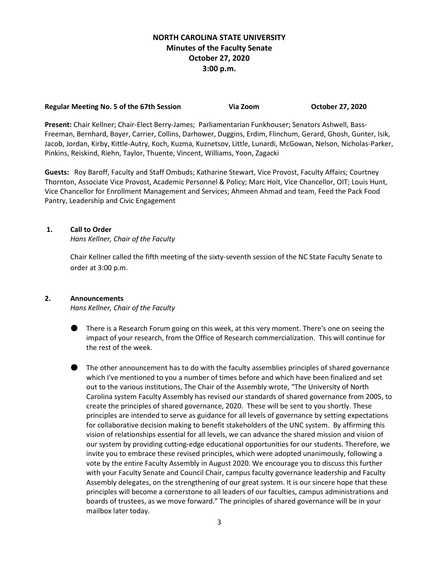## **NORTH CAROLINA STATE UNIVERSITY Minutes of the Faculty Senate October 27, 2020 3:00 p.m.**

## **Regular Meeting No. 5 of the 67th Session Via Zoom October 27, 2020**

**Present:** Chair Kellner; Chair-Elect Berry-James; Parliamentarian Funkhouser; Senators Ashwell, Bass-Freeman, Bernhard, Boyer, Carrier, Collins, Darhower, Duggins, Erdim, Flinchum, Gerard, Ghosh, Gunter, Isik, Jacob, Jordan, Kirby, Kittle-Autry, Koch, Kuzma, Kuznetsov, Little, Lunardi, McGowan, Nelson, Nicholas-Parker, Pinkins, Reiskind, Riehn, Taylor, Thuente, Vincent, Williams, Yoon, Zagacki

**Guests:** Roy Baroff, Faculty and Staff Ombuds; Katharine Stewart, Vice Provost, Faculty Affairs; Courtney Thornton, Associate Vice Provost, Academic Personnel & Policy; Marc Hoit, Vice Chancellor, OIT; Louis Hunt, Vice Chancellor for Enrollment Management and Services; Ahmeen Ahmad and team, Feed the Pack Food Pantry, Leadership and Civic Engagement

## **1. Call to Order**

*Hans Kellner, Chair of the Faculty*

Chair Kellner called the fifth meeting of the sixty-seventh session of the NC State Faculty Senate to order at 3:00 p.m.

## **2. Announcements**

*Hans Kellner, Chair of the Faculty*

- There is a Research Forum going on this week, at this very moment. There's one on seeing the impact of your research, from the Office of Research commercialization. This will continue for the rest of the week.
- The other announcement has to do with the faculty assemblies principles of shared governance which I've mentioned to you a number of times before and which have been finalized and set out to the various institutions, The Chair of the Assembly wrote, "The University of North Carolina system Faculty Assembly has revised our standards of shared governance from 2005, to create the principles of shared governance, 2020. These will be sent to you shortly. These principles are intended to serve as guidance for all levels of governance by setting expectations for collaborative decision making to benefit stakeholders of the UNC system. By affirming this vision of relationships essential for all levels, we can advance the shared mission and vision of our system by providing cutting-edge educational opportunities for our students. Therefore, we invite you to embrace these revised principles, which were adopted unanimously, following a vote by the entire Faculty Assembly in August 2020. We encourage you to discuss this further with your Faculty Senate and Council Chair, campus faculty governance leadership and Faculty Assembly delegates, on the strengthening of our great system. It is our sincere hope that these principles will become a cornerstone to all leaders of our faculties, campus administrations and boards of trustees, as we move forward." The principles of shared governance will be in your mailbox later today.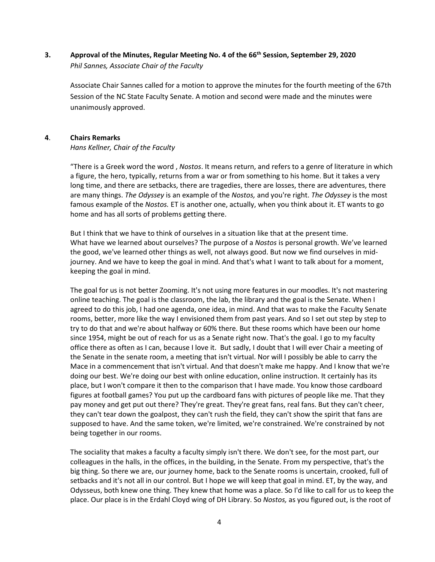## **3. Approval of the Minutes, Regular Meeting No. 4 of the 66th Session, September 29, 2020** *Phil Sannes, Associate Chair of the Faculty*

Associate Chair Sannes called for a motion to approve the minutes for the fourth meeting of the 67th Session of the NC State Faculty Senate. A motion and second were made and the minutes were unanimously approved.

## **4**. **Chairs Remarks**

## *Hans Kellner, Chair of the Faculty*

"There is a Greek word the word , *Nostos*. It means return, and refers to a genre of literature in which a figure, the hero, typically, returns from a war or from something to his home. But it takes a very long time, and there are setbacks, there are tragedies, there are losses, there are adventures, there are many things. *The Odyssey* is an example of the *Nostos,* and you're right. *The Odyssey* is the most famous example of the *Nostos.* ET is another one, actually, when you think about it. ET wants to go home and has all sorts of problems getting there.

But I think that we have to think of ourselves in a situation like that at the present time. What have we learned about ourselves? The purpose of a *Nostos* is personal growth. We've learned the good, we've learned other things as well, not always good. But now we find ourselves in midjourney. And we have to keep the goal in mind. And that's what I want to talk about for a moment, keeping the goal in mind.

The goal for us is not better Zooming. It's not using more features in our moodles. It's not mastering online teaching. The goal is the classroom, the lab, the library and the goal is the Senate. When I agreed to do this job, I had one agenda, one idea, in mind. And that was to make the Faculty Senate rooms, better, more like the way I envisioned them from past years. And so I set out step by step to try to do that and we're about halfway or 60% there. But these rooms which have been our home since 1954, might be out of reach for us as a Senate right now. That's the goal. I go to my faculty office there as often as I can, because I love it. But sadly, I doubt that I will ever Chair a meeting of the Senate in the senate room, a meeting that isn't virtual. Nor will I possibly be able to carry the Mace in a commencement that isn't virtual. And that doesn't make me happy. And I know that we're doing our best. We're doing our best with online education, online instruction. It certainly has its place, but I won't compare it then to the comparison that I have made. You know those cardboard figures at football games? You put up the cardboard fans with pictures of people like me. That they pay money and get put out there? They're great. They're great fans, real fans. But they can't cheer, they can't tear down the goalpost, they can't rush the field, they can't show the spirit that fans are supposed to have. And the same token, we're limited, we're constrained. We're constrained by not being together in our rooms.

The sociality that makes a faculty a faculty simply isn't there. We don't see, for the most part, our colleagues in the halls, in the offices, in the building, in the Senate. From my perspective, that's the big thing. So there we are, our journey home, back to the Senate rooms is uncertain, crooked, full of setbacks and it's not all in our control. But I hope we will keep that goal in mind. ET, by the way, and Odysseus, both knew one thing. They knew that home was a place. So I'd like to call for us to keep the place. Our place is in the Erdahl Cloyd wing of DH Library. So *Nostos,* as you figured out, is the root of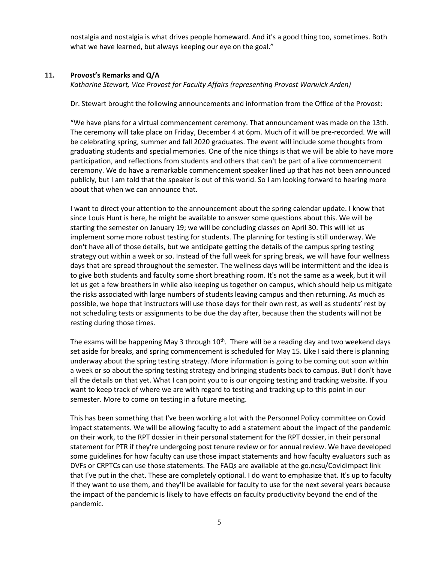nostalgia and nostalgia is what drives people homeward. And it's a good thing too, sometimes. Both what we have learned, but always keeping our eye on the goal."

### **11. Provost's Remarks and Q/A**

*Katharine Stewart, Vice Provost for Faculty Affairs (representing Provost Warwick Arden)*

Dr. Stewart brought the following announcements and information from the Office of the Provost:

"We have plans for a virtual commencement ceremony. That announcement was made on the 13th. The ceremony will take place on Friday, December 4 at 6pm. Much of it will be pre-recorded. We will be celebrating spring, summer and fall 2020 graduates. The event will include some thoughts from graduating students and special memories. One of the nice things is that we will be able to have more participation, and reflections from students and others that can't be part of a live commencement ceremony. We do have a remarkable commencement speaker lined up that has not been announced publicly, but I am told that the speaker is out of this world. So I am looking forward to hearing more about that when we can announce that.

I want to direct your attention to the announcement about the spring calendar update. I know that since Louis Hunt is here, he might be available to answer some questions about this. We will be starting the semester on January 19; we will be concluding classes on April 30. This will let us implement some more robust testing for students. The planning for testing is still underway. We don't have all of those details, but we anticipate getting the details of the campus spring testing strategy out within a week or so. Instead of the full week for spring break, we will have four wellness days that are spread throughout the semester. The wellness days will be intermittent and the idea is to give both students and faculty some short breathing room. It's not the same as a week, but it will let us get a few breathers in while also keeping us together on campus, which should help us mitigate the risks associated with large numbers of students leaving campus and then returning. As much as possible, we hope that instructors will use those days for their own rest, as well as students' rest by not scheduling tests or assignments to be due the day after, because then the students will not be resting during those times.

The exams will be happening May 3 through  $10<sup>th</sup>$ . There will be a reading day and two weekend days set aside for breaks, and spring commencement is scheduled for May 15. Like I said there is planning underway about the spring testing strategy. More information is going to be coming out soon within a week or so about the spring testing strategy and bringing students back to campus. But I don't have all the details on that yet. What I can point you to is our ongoing testing and tracking website. If you want to keep track of where we are with regard to testing and tracking up to this point in our semester. More to come on testing in a future meeting.

This has been something that I've been working a lot with the Personnel Policy committee on Covid impact statements. We will be allowing faculty to add a statement about the impact of the pandemic on their work, to the RPT dossier in their personal statement for the RPT dossier, in their personal statement for PTR if they're undergoing post tenure review or for annual review. We have developed some guidelines for how faculty can use those impact statements and how faculty evaluators such as DVFs or CRPTCs can use those statements. The FAQs are available at the go.ncsu/Covidimpact link that I've put in the chat. These are completely optional. I do want to emphasize that. It's up to faculty if they want to use them, and they'll be available for faculty to use for the next several years because the impact of the pandemic is likely to have effects on faculty productivity beyond the end of the pandemic.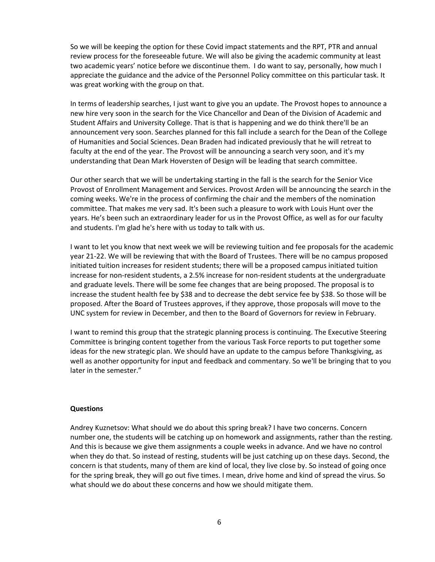So we will be keeping the option for these Covid impact statements and the RPT, PTR and annual review process for the foreseeable future. We will also be giving the academic community at least two academic years' notice before we discontinue them. I do want to say, personally, how much I appreciate the guidance and the advice of the Personnel Policy committee on this particular task. It was great working with the group on that.

In terms of leadership searches, I just want to give you an update. The Provost hopes to announce a new hire very soon in the search for the Vice Chancellor and Dean of the Division of Academic and Student Affairs and University College. That is that is happening and we do think there'll be an announcement very soon. Searches planned for this fall include a search for the Dean of the College of Humanities and Social Sciences. Dean Braden had indicated previously that he will retreat to faculty at the end of the year. The Provost will be announcing a search very soon, and it's my understanding that Dean Mark Hoversten of Design will be leading that search committee.

Our other search that we will be undertaking starting in the fall is the search for the Senior Vice Provost of Enrollment Management and Services. Provost Arden will be announcing the search in the coming weeks. We're in the process of confirming the chair and the members of the nomination committee. That makes me very sad. It's been such a pleasure to work with Louis Hunt over the years. He's been such an extraordinary leader for us in the Provost Office, as well as for our faculty and students. I'm glad he's here with us today to talk with us.

I want to let you know that next week we will be reviewing tuition and fee proposals for the academic year 21-22. We will be reviewing that with the Board of Trustees. There will be no campus proposed initiated tuition increases for resident students; there will be a proposed campus initiated tuition increase for non-resident students, a 2.5% increase for non-resident students at the undergraduate and graduate levels. There will be some fee changes that are being proposed. The proposal is to increase the student health fee by \$38 and to decrease the debt service fee by \$38. So those will be proposed. After the Board of Trustees approves, if they approve, those proposals will move to the UNC system for review in December, and then to the Board of Governors for review in February.

I want to remind this group that the strategic planning process is continuing. The Executive Steering Committee is bringing content together from the various Task Force reports to put together some ideas for the new strategic plan. We should have an update to the campus before Thanksgiving, as well as another opportunity for input and feedback and commentary. So we'll be bringing that to you later in the semester."

### **Questions**

Andrey Kuznetsov: What should we do about this spring break? I have two concerns. Concern number one, the students will be catching up on homework and assignments, rather than the resting. And this is because we give them assignments a couple weeks in advance. And we have no control when they do that. So instead of resting, students will be just catching up on these days. Second, the concern is that students, many of them are kind of local, they live close by. So instead of going once for the spring break, they will go out five times. I mean, drive home and kind of spread the virus. So what should we do about these concerns and how we should mitigate them.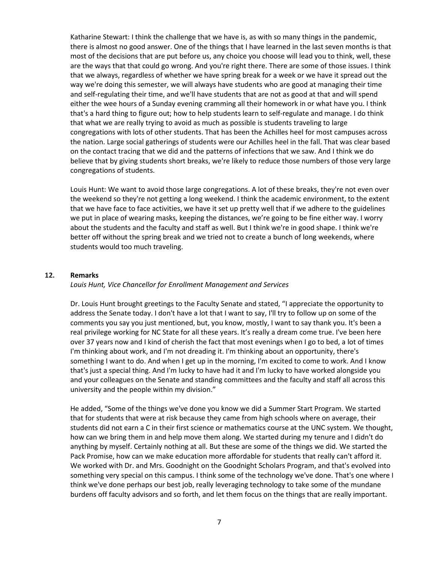Katharine Stewart: I think the challenge that we have is, as with so many things in the pandemic, there is almost no good answer. One of the things that I have learned in the last seven months is that most of the decisions that are put before us, any choice you choose will lead you to think, well, these are the ways that that could go wrong. And you're right there. There are some of those issues. I think that we always, regardless of whether we have spring break for a week or we have it spread out the way we're doing this semester, we will always have students who are good at managing their time and self-regulating their time, and we'll have students that are not as good at that and will spend either the wee hours of a Sunday evening cramming all their homework in or what have you. I think that's a hard thing to figure out; how to help students learn to self-regulate and manage. I do think that what we are really trying to avoid as much as possible is students traveling to large congregations with lots of other students. That has been the Achilles heel for most campuses across the nation. Large social gatherings of students were our Achilles heel in the fall. That was clear based on the contact tracing that we did and the patterns of infections that we saw. And I think we do believe that by giving students short breaks, we're likely to reduce those numbers of those very large congregations of students.

Louis Hunt: We want to avoid those large congregations. A lot of these breaks, they're not even over the weekend so they're not getting a long weekend. I think the academic environment, to the extent that we have face to face activities, we have it set up pretty well that if we adhere to the guidelines we put in place of wearing masks, keeping the distances, we're going to be fine either way. I worry about the students and the faculty and staff as well. But I think we're in good shape. I think we're better off without the spring break and we tried not to create a bunch of long weekends, where students would too much traveling.

### **12. Remarks**

### *Louis Hunt, Vice Chancellor for Enrollment Management and Services*

Dr. Louis Hunt brought greetings to the Faculty Senate and stated, "I appreciate the opportunity to address the Senate today. I don't have a lot that I want to say, I'll try to follow up on some of the comments you say you just mentioned, but, you know, mostly, I want to say thank you. It's been a real privilege working for NC State for all these years. It's really a dream come true. I've been here over 37 years now and I kind of cherish the fact that most evenings when I go to bed, a lot of times I'm thinking about work, and I'm not dreading it. I'm thinking about an opportunity, there's something I want to do. And when I get up in the morning, I'm excited to come to work. And I know that's just a special thing. And I'm lucky to have had it and I'm lucky to have worked alongside you and your colleagues on the Senate and standing committees and the faculty and staff all across this university and the people within my division."

He added, "Some of the things we've done you know we did a Summer Start Program. We started that for students that were at risk because they came from high schools where on average, their students did not earn a C in their first science or mathematics course at the UNC system. We thought, how can we bring them in and help move them along. We started during my tenure and I didn't do anything by myself. Certainly nothing at all. But these are some of the things we did. We started the Pack Promise, how can we make education more affordable for students that really can't afford it. We worked with Dr. and Mrs. Goodnight on the Goodnight Scholars Program, and that's evolved into something very special on this campus. I think some of the technology we've done. That's one where I think we've done perhaps our best job, really leveraging technology to take some of the mundane burdens off faculty advisors and so forth, and let them focus on the things that are really important.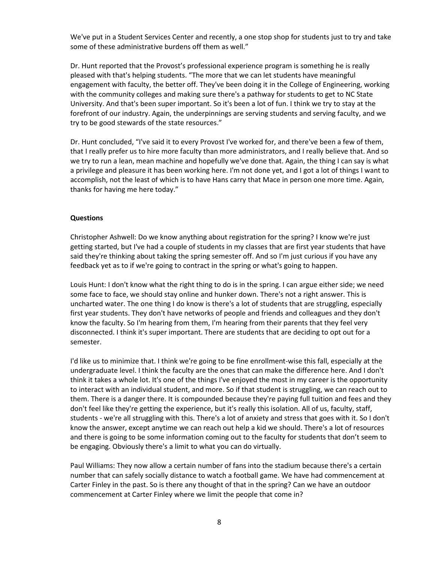We've put in a Student Services Center and recently, a one stop shop for students just to try and take some of these administrative burdens off them as well."

Dr. Hunt reported that the Provost's professional experience program is something he is really pleased with that's helping students. "The more that we can let students have meaningful engagement with faculty, the better off. They've been doing it in the College of Engineering, working with the community colleges and making sure there's a pathway for students to get to NC State University. And that's been super important. So it's been a lot of fun. I think we try to stay at the forefront of our industry. Again, the underpinnings are serving students and serving faculty, and we try to be good stewards of the state resources."

Dr. Hunt concluded, "I've said it to every Provost I've worked for, and there've been a few of them, that I really prefer us to hire more faculty than more administrators, and I really believe that. And so we try to run a lean, mean machine and hopefully we've done that. Again, the thing I can say is what a privilege and pleasure it has been working here. I'm not done yet, and I got a lot of things I want to accomplish, not the least of which is to have Hans carry that Mace in person one more time. Again, thanks for having me here today."

### **Questions**

Christopher Ashwell: Do we know anything about registration for the spring? I know we're just getting started, but I've had a couple of students in my classes that are first year students that have said they're thinking about taking the spring semester off. And so I'm just curious if you have any feedback yet as to if we're going to contract in the spring or what's going to happen.

Louis Hunt: I don't know what the right thing to do is in the spring. I can argue either side; we need some face to face, we should stay online and hunker down. There's not a right answer. This is uncharted water. The one thing I do know is there's a lot of students that are struggling, especially first year students. They don't have networks of people and friends and colleagues and they don't know the faculty. So I'm hearing from them, I'm hearing from their parents that they feel very disconnected. I think it's super important. There are students that are deciding to opt out for a semester.

I'd like us to minimize that. I think we're going to be fine enrollment-wise this fall, especially at the undergraduate level. I think the faculty are the ones that can make the difference here. And I don't think it takes a whole lot. It's one of the things I've enjoyed the most in my career is the opportunity to interact with an individual student, and more. So if that student is struggling, we can reach out to them. There is a danger there. It is compounded because they're paying full tuition and fees and they don't feel like they're getting the experience, but it's really this isolation. All of us, faculty, staff, students - we're all struggling with this. There's a lot of anxiety and stress that goes with it. So I don't know the answer, except anytime we can reach out help a kid we should. There's a lot of resources and there is going to be some information coming out to the faculty for students that don't seem to be engaging. Obviously there's a limit to what you can do virtually.

Paul Williams: They now allow a certain number of fans into the stadium because there's a certain number that can safely socially distance to watch a football game. We have had commencement at Carter Finley in the past. So is there any thought of that in the spring? Can we have an outdoor commencement at Carter Finley where we limit the people that come in?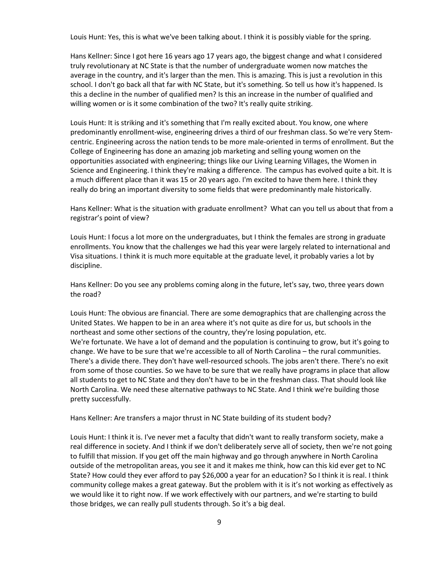Louis Hunt: Yes, this is what we've been talking about. I think it is possibly viable for the spring.

Hans Kellner: Since I got here 16 years ago 17 years ago, the biggest change and what I considered truly revolutionary at NC State is that the number of undergraduate women now matches the average in the country, and it's larger than the men. This is amazing. This is just a revolution in this school. I don't go back all that far with NC State, but it's something. So tell us how it's happened. Is this a decline in the number of qualified men? Is this an increase in the number of qualified and willing women or is it some combination of the two? It's really quite striking.

Louis Hunt: It is striking and it's something that I'm really excited about. You know, one where predominantly enrollment-wise, engineering drives a third of our freshman class. So we're very Stemcentric. Engineering across the nation tends to be more male-oriented in terms of enrollment. But the College of Engineering has done an amazing job marketing and selling young women on the opportunities associated with engineering; things like our Living Learning Villages, the Women in Science and Engineering. I think they're making a difference. The campus has evolved quite a bit. It is a much different place than it was 15 or 20 years ago. I'm excited to have them here. I think they really do bring an important diversity to some fields that were predominantly male historically.

Hans Kellner: What is the situation with graduate enrollment? What can you tell us about that from a registrar's point of view?

Louis Hunt: I focus a lot more on the undergraduates, but I think the females are strong in graduate enrollments. You know that the challenges we had this year were largely related to international and Visa situations. I think it is much more equitable at the graduate level, it probably varies a lot by discipline.

Hans Kellner: Do you see any problems coming along in the future, let's say, two, three years down the road?

Louis Hunt: The obvious are financial. There are some demographics that are challenging across the United States. We happen to be in an area where it's not quite as dire for us, but schools in the northeast and some other sections of the country, they're losing population, etc. We're fortunate. We have a lot of demand and the population is continuing to grow, but it's going to change. We have to be sure that we're accessible to all of North Carolina – the rural communities. There's a divide there. They don't have well-resourced schools. The jobs aren't there. There's no exit from some of those counties. So we have to be sure that we really have programs in place that allow all students to get to NC State and they don't have to be in the freshman class. That should look like North Carolina. We need these alternative pathways to NC State. And I think we're building those pretty successfully.

Hans Kellner: Are transfers a major thrust in NC State building of its student body?

Louis Hunt: I think it is. I've never met a faculty that didn't want to really transform society, make a real difference in society. And I think if we don't deliberately serve all of society, then we're not going to fulfill that mission. If you get off the main highway and go through anywhere in North Carolina outside of the metropolitan areas, you see it and it makes me think, how can this kid ever get to NC State? How could they ever afford to pay \$26,000 a year for an education? So I think it is real. I think community college makes a great gateway. But the problem with it is it's not working as effectively as we would like it to right now. If we work effectively with our partners, and we're starting to build those bridges, we can really pull students through. So it's a big deal.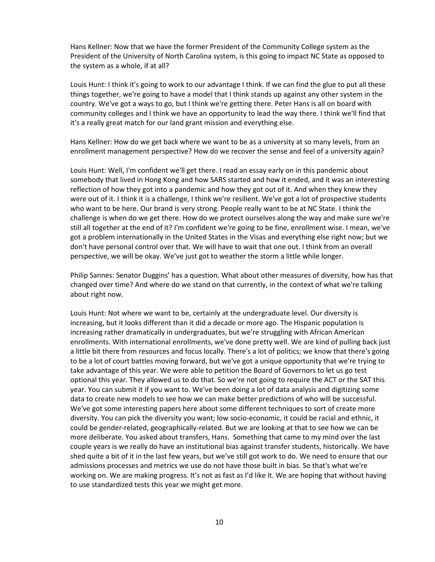Hans Kellner: Now that we have the former President of the Community College system as the President of the University of North Carolina system, is this going to impact NC State as opposed to the system as a whole, if at all?

Louis Hunt: I think it's going to work to our advantage I think. If we can find the glue to put all these things together, we're going to have a model that I think stands up against any other system in the country. We've got a ways to go, but I think we're getting there. Peter Hans is all on board with community colleges and I think we have an opportunity to lead the way there. I think we'll find that it's a really great match for our land grant mission and everything else.

Hans Kellner: How do we get back where we want to be as a university at so many levels, from an enrollment management perspective? How do we recover the sense and feel of a university again?

Louis Hunt: Well, I'm confident we'll get there. I read an essay early on in this pandemic about somebody that lived in Hong Kong and how SARS started and how it ended, and it was an interesting reflection of how they got into a pandemic and how they got out of it. And when they knew they were out of it. I think it is a challenge, I think we're resilient. We've got a lot of prospective students who want to be here. Our brand is very strong. People really want to be at NC State. I think the challenge is when do we get there. How do we protect ourselves along the way and make sure we're still all together at the end of it? I'm confident we're going to be fine, enrollment wise. I mean, we've got a problem internationally in the United States in the Visas and everything else right now; but we don't have personal control over that. We will have to wait that one out. I think from an overall perspective, we will be okay. We've just got to weather the storm a little while longer.

Philip Sannes: Senator Duggins' has a question. What about other measures of diversity, how has that changed over time? And where do we stand on that currently, in the context of what we're talking about right now.

Louis Hunt: Not where we want to be, certainly at the undergraduate level. Our diversity is increasing, but it looks different than it did a decade or more ago. The Hispanic population is increasing rather dramatically in undergraduates, but we're struggling with African American enrollments. With international enrollments, we've done pretty well. We are kind of pulling back just a little bit there from resources and focus locally. There's a lot of politics; we know that there's going to be a lot of court battles moving forward, but we've got a unique opportunity that we're trying to take advantage of this year. We were able to petition the Board of Governors to let us go test optional this year. They allowed us to do that. So we're not going to require the ACT or the SAT this year. You can submit it if you want to. We've been doing a lot of data analysis and digitizing some data to create new models to see how we can make better predictions of who will be successful. We've got some interesting papers here about some different techniques to sort of create more diversity. You can pick the diversity you want; low socio-economic, it could be racial and ethnic, it could be gender-related, geographically-related. But we are looking at that to see how we can be more deliberate. You asked about transfers, Hans. Something that came to my mind over the last couple years is we really do have an institutional bias against transfer students, historically. We have shed quite a bit of it in the last few years, but we've still got work to do. We need to ensure that our admissions processes and metrics we use do not have those built in bias. So that's what we're working on. We are making progress. It's not as fast as I'd like it. We are hoping that without having to use standardized tests this year we might get more.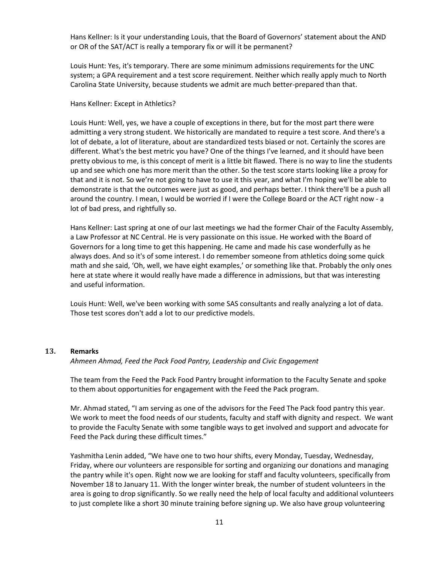Hans Kellner: Is it your understanding Louis, that the Board of Governors' statement about the AND or OR of the SAT/ACT is really a temporary fix or will it be permanent?

Louis Hunt: Yes, it's temporary. There are some minimum admissions requirements for the UNC system; a GPA requirement and a test score requirement. Neither which really apply much to North Carolina State University, because students we admit are much better-prepared than that.

### Hans Kellner: Except in Athletics?

Louis Hunt: Well, yes, we have a couple of exceptions in there, but for the most part there were admitting a very strong student. We historically are mandated to require a test score. And there's a lot of debate, a lot of literature, about are standardized tests biased or not. Certainly the scores are different. What's the best metric you have? One of the things I've learned, and it should have been pretty obvious to me, is this concept of merit is a little bit flawed. There is no way to line the students up and see which one has more merit than the other. So the test score starts looking like a proxy for that and it is not. So we're not going to have to use it this year, and what I'm hoping we'll be able to demonstrate is that the outcomes were just as good, and perhaps better. I think there'll be a push all around the country. I mean, I would be worried if I were the College Board or the ACT right now - a lot of bad press, and rightfully so.

Hans Kellner: Last spring at one of our last meetings we had the former Chair of the Faculty Assembly, a Law Professor at NC Central. He is very passionate on this issue. He worked with the Board of Governors for a long time to get this happening. He came and made his case wonderfully as he always does. And so it's of some interest. I do remember someone from athletics doing some quick math and she said, 'Oh, well, we have eight examples,' or something like that. Probably the only ones here at state where it would really have made a difference in admissions, but that was interesting and useful information.

Louis Hunt: Well, we've been working with some SAS consultants and really analyzing a lot of data. Those test scores don't add a lot to our predictive models.

#### **13. Remarks**

*Ahmeen Ahmad, Feed the Pack Food Pantry, Leadership and Civic Engagement* 

The team from the Feed the Pack Food Pantry brought information to the Faculty Senate and spoke to them about opportunities for engagement with the Feed the Pack program.

Mr. Ahmad stated, "I am serving as one of the advisors for the Feed The Pack food pantry this year. We work to meet the food needs of our students, faculty and staff with dignity and respect. We want to provide the Faculty Senate with some tangible ways to get involved and support and advocate for Feed the Pack during these difficult times."

Yashmitha Lenin added, "We have one to two hour shifts, every Monday, Tuesday, Wednesday, Friday, where our volunteers are responsible for sorting and organizing our donations and managing the pantry while it's open. Right now we are looking for staff and faculty volunteers, specifically from November 18 to January 11. With the longer winter break, the number of student volunteers in the area is going to drop significantly. So we really need the help of local faculty and additional volunteers to just complete like a short 30 minute training before signing up. We also have group volunteering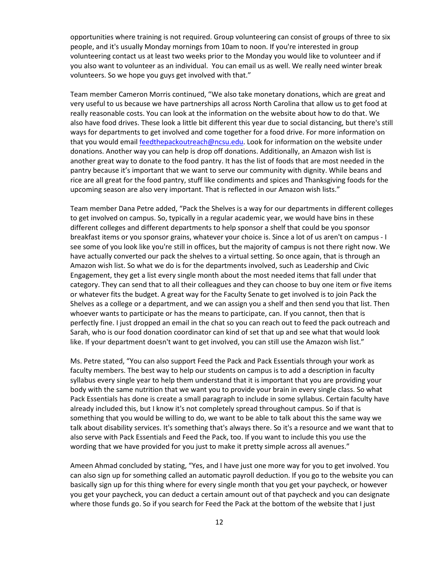opportunities where training is not required. Group volunteering can consist of groups of three to six people, and it's usually Monday mornings from 10am to noon. If you're interested in group volunteering contact us at least two weeks prior to the Monday you would like to volunteer and if you also want to volunteer as an individual. You can email us as well. We really need winter break volunteers. So we hope you guys get involved with that."

Team member Cameron Morris continued, "We also take monetary donations, which are great and very useful to us because we have partnerships all across North Carolina that allow us to get food at really reasonable costs. You can look at the information on the website about how to do that. We also have food drives. These look a little bit different this year due to social distancing, but there's still ways for departments to get involved and come together for a food drive. For more information on that you would email [feedthepackoutreach@ncsu.edu.](mailto:feedthepackoutreach@ncsu.edu) Look for information on the website under donations. Another way you can help is drop off donations. Additionally, an Amazon wish list is another great way to donate to the food pantry. It has the list of foods that are most needed in the pantry because it's important that we want to serve our community with dignity. While beans and rice are all great for the food pantry, stuff like condiments and spices and Thanksgiving foods for the upcoming season are also very important. That is reflected in our Amazon wish lists."

Team member Dana Petre added, "Pack the Shelves is a way for our departments in different colleges to get involved on campus. So, typically in a regular academic year, we would have bins in these different colleges and different departments to help sponsor a shelf that could be you sponsor breakfast items or you sponsor grains, whatever your choice is. Since a lot of us aren't on campus - I see some of you look like you're still in offices, but the majority of campus is not there right now. We have actually converted our pack the shelves to a virtual setting. So once again, that is through an Amazon wish list. So what we do is for the departments involved, such as Leadership and Civic Engagement, they get a list every single month about the most needed items that fall under that category. They can send that to all their colleagues and they can choose to buy one item or five items or whatever fits the budget. A great way for the Faculty Senate to get involved is to join Pack the Shelves as a college or a department, and we can assign you a shelf and then send you that list. Then whoever wants to participate or has the means to participate, can. If you cannot, then that is perfectly fine. I just dropped an email in the chat so you can reach out to feed the pack outreach and Sarah, who is our food donation coordinator can kind of set that up and see what that would look like. If your department doesn't want to get involved, you can still use the Amazon wish list."

Ms. Petre stated, "You can also support Feed the Pack and Pack Essentials through your work as faculty members. The best way to help our students on campus is to add a description in faculty syllabus every single year to help them understand that it is important that you are providing your body with the same nutrition that we want you to provide your brain in every single class. So what Pack Essentials has done is create a small paragraph to include in some syllabus. Certain faculty have already included this, but I know it's not completely spread throughout campus. So if that is something that you would be willing to do, we want to be able to talk about this the same way we talk about disability services. It's something that's always there. So it's a resource and we want that to also serve with Pack Essentials and Feed the Pack, too. If you want to include this you use the wording that we have provided for you just to make it pretty simple across all avenues."

Ameen Ahmad concluded by stating, "Yes, and I have just one more way for you to get involved. You can also sign up for something called an automatic payroll deduction. If you go to the website you can basically sign up for this thing where for every single month that you get your paycheck, or however you get your paycheck, you can deduct a certain amount out of that paycheck and you can designate where those funds go. So if you search for Feed the Pack at the bottom of the website that I just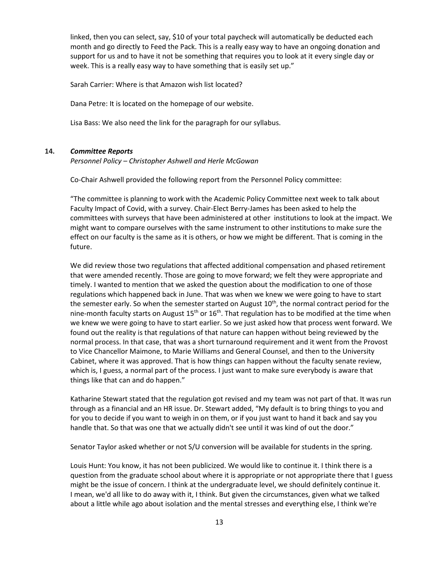linked, then you can select, say, \$10 of your total paycheck will automatically be deducted each month and go directly to Feed the Pack. This is a really easy way to have an ongoing donation and support for us and to have it not be something that requires you to look at it every single day or week. This is a really easy way to have something that is easily set up."

Sarah Carrier: Where is that Amazon wish list located?

Dana Petre: It is located on the homepage of our website.

Lisa Bass: We also need the link for the paragraph for our syllabus.

### **14.** *Committee Reports*

*Personnel Policy – Christopher Ashwell and Herle McGowan* 

Co-Chair Ashwell provided the following report from the Personnel Policy committee:

"The committee is planning to work with the Academic Policy Committee next week to talk about Faculty Impact of Covid, with a survey. Chair-Elect Berry-James has been asked to help the committees with surveys that have been administered at other institutions to look at the impact. We might want to compare ourselves with the same instrument to other institutions to make sure the effect on our faculty is the same as it is others, or how we might be different. That is coming in the future.

We did review those two regulations that affected additional compensation and phased retirement that were amended recently. Those are going to move forward; we felt they were appropriate and timely. I wanted to mention that we asked the question about the modification to one of those regulations which happened back in June. That was when we knew we were going to have to start the semester early. So when the semester started on August 10<sup>th</sup>, the normal contract period for the nine-month faculty starts on August  $15<sup>th</sup>$  or  $16<sup>th</sup>$ . That regulation has to be modified at the time when we knew we were going to have to start earlier. So we just asked how that process went forward. We found out the reality is that regulations of that nature can happen without being reviewed by the normal process. In that case, that was a short turnaround requirement and it went from the Provost to Vice Chancellor Maimone, to Marie Williams and General Counsel, and then to the University Cabinet, where it was approved. That is how things can happen without the faculty senate review, which is, I guess, a normal part of the process. I just want to make sure everybody is aware that things like that can and do happen."

Katharine Stewart stated that the regulation got revised and my team was not part of that. It was run through as a financial and an HR issue. Dr. Stewart added, "My default is to bring things to you and for you to decide if you want to weigh in on them, or if you just want to hand it back and say you handle that. So that was one that we actually didn't see until it was kind of out the door."

Senator Taylor asked whether or not S/U conversion will be available for students in the spring.

Louis Hunt: You know, it has not been publicized. We would like to continue it. I think there is a question from the graduate school about where it is appropriate or not appropriate there that I guess might be the issue of concern. I think at the undergraduate level, we should definitely continue it. I mean, we'd all like to do away with it, I think. But given the circumstances, given what we talked about a little while ago about isolation and the mental stresses and everything else, I think we're